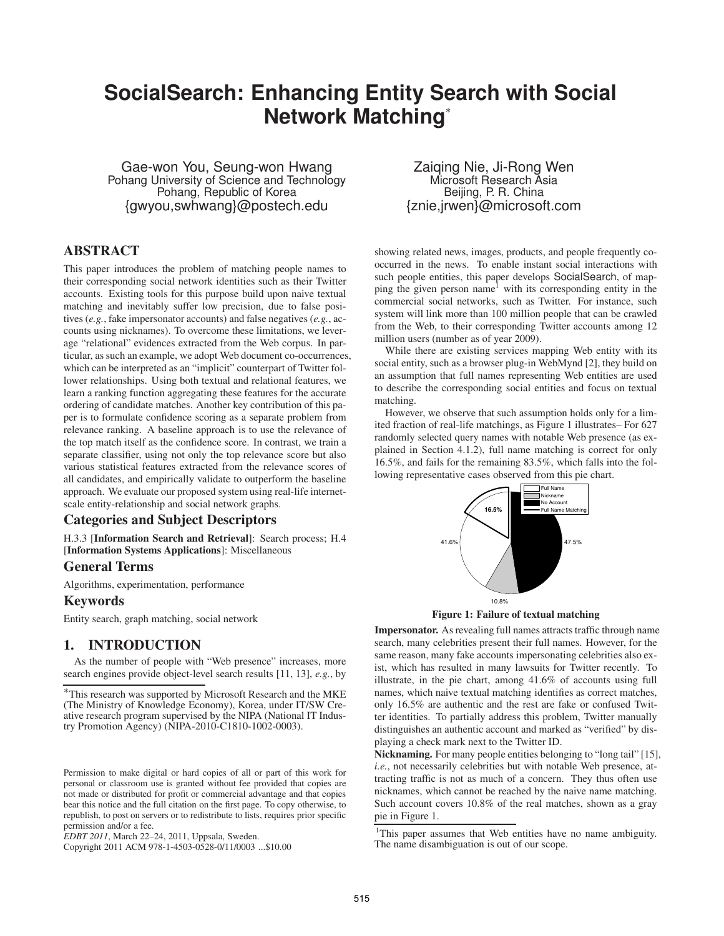# **SocialSearch: Enhancing Entity Search with Social Network Matching**<sup>∗</sup>

Gae-won You, Seung-won Hwang Pohang University of Science and Technology Pohang, Republic of Korea {gwyou,swhwang}@postech.edu

# **ABSTRACT**

This paper introduces the problem of matching people names to their corresponding social network identities such as their Twitter accounts. Existing tools for this purpose build upon naive textual matching and inevitably suffer low precision, due to false positives (*e.g.*, fake impersonator accounts) and false negatives (*e.g.*, accounts using nicknames). To overcome these limitations, we leverage "relational" evidences extracted from the Web corpus. In particular, as such an example, we adopt Web document co-occurrences, which can be interpreted as an "implicit" counterpart of Twitter follower relationships. Using both textual and relational features, we learn a ranking function aggregating these features for the accurate ordering of candidate matches. Another key contribution of this paper is to formulate confidence scoring as a separate problem from relevance ranking. A baseline approach is to use the relevance of the top match itself as the confidence score. In contrast, we train a separate classifier, using not only the top relevance score but also various statistical features extracted from the relevance scores of all candidates, and empirically validate to outperform the baseline approach. We evaluate our proposed system using real-life internetscale entity-relationship and social network graphs.

# **Categories and Subject Descriptors**

H.3.3 [**Information Search and Retrieval**]: Search process; H.4 [**Information Systems Applications**]: Miscellaneous

#### **General Terms**

Algorithms, experimentation, performance

## **Keywords**

Entity search, graph matching, social network

# **1. INTRODUCTION**

As the number of people with "Web presence" increases, more search engines provide object-level search results [11, 13], *e.g.*, by

Copyright 2011 ACM 978-1-4503-0528-0/11/0003 ...\$10.00

Zaiqing Nie, Ji-Rong Wen Microsoft Research Asia Beijing, P. R. China {znie,jrwen}@microsoft.com

showing related news, images, products, and people frequently cooccurred in the news. To enable instant social interactions with such people entities, this paper develops SocialSearch, of mapping the given person name<sup>1</sup> with its corresponding entity in the commercial social networks, such as Twitter. For instance, such system will link more than 100 million people that can be crawled from the Web, to their corresponding Twitter accounts among 12 million users (number as of year 2009).

While there are existing services mapping Web entity with its social entity, such as a browser plug-in WebMynd [2], they build on an assumption that full names representing Web entities are used to describe the corresponding social entities and focus on textual matching.

However, we observe that such assumption holds only for a limited fraction of real-life matchings, as Figure 1 illustrates– For 627 randomly selected query names with notable Web presence (as explained in Section 4.1.2), full name matching is correct for only 16.5%, and fails for the remaining 83.5%, which falls into the following representative cases observed from this pie chart.





**Impersonator.** As revealing full names attracts traffic through name search, many celebrities present their full names. However, for the same reason, many fake accounts impersonating celebrities also exist, which has resulted in many lawsuits for Twitter recently. To illustrate, in the pie chart, among 41.6% of accounts using full names, which naive textual matching identifies as correct matches, only 16.5% are authentic and the rest are fake or confused Twitter identities. To partially address this problem, Twitter manually distinguishes an authentic account and marked as "verified" by displaying a check mark next to the Twitter ID.

**Nicknaming.** For many people entities belonging to "long tail" [15], *i.e.*, not necessarily celebrities but with notable Web presence, attracting traffic is not as much of a concern. They thus often use nicknames, which cannot be reached by the naive name matching. Such account covers 10.8% of the real matches, shown as a gray pie in Figure 1.

<sup>∗</sup>This research was supported by Microsoft Research and the MKE (The Ministry of Knowledge Economy), Korea, under IT/SW Creative research program supervised by the NIPA (National IT Industry Promotion Agency) (NIPA-2010-C1810-1002-0003).

Permission to make digital or hard copies of all or part of this work for personal or classroom use is granted without fee provided that copies are not made or distributed for profit or commercial advantage and that copies bear this notice and the full citation on the first page. To copy otherwise, to republish, to post on servers or to redistribute to lists, requires prior specific permission and/or a fee.

*EDBT 2011*, March 22–24, 2011, Uppsala, Sweden.

<sup>&</sup>lt;sup>1</sup>This paper assumes that Web entities have no name ambiguity. The name disambiguation is out of our scope.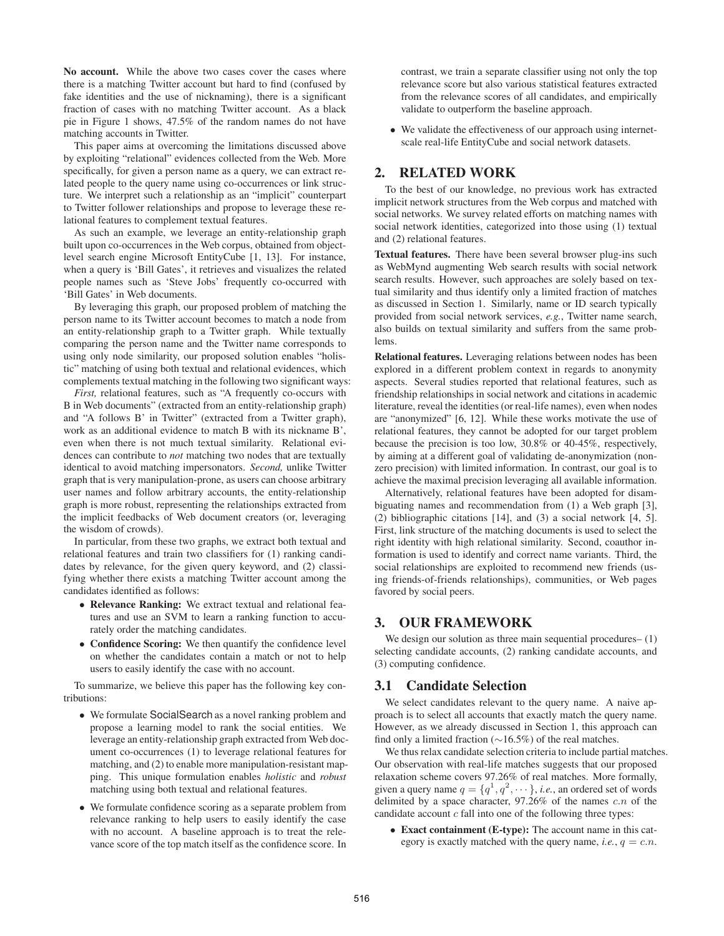**No account.** While the above two cases cover the cases where there is a matching Twitter account but hard to find (confused by fake identities and the use of nicknaming), there is a significant fraction of cases with no matching Twitter account. As a black pie in Figure 1 shows, 47.5% of the random names do not have matching accounts in Twitter.

This paper aims at overcoming the limitations discussed above by exploiting "relational" evidences collected from the Web. More specifically, for given a person name as a query, we can extract related people to the query name using co-occurrences or link structure. We interpret such a relationship as an "implicit" counterpart to Twitter follower relationships and propose to leverage these relational features to complement textual features.

As such an example, we leverage an entity-relationship graph built upon co-occurrences in the Web corpus, obtained from objectlevel search engine Microsoft EntityCube [1, 13]. For instance, when a query is 'Bill Gates', it retrieves and visualizes the related people names such as 'Steve Jobs' frequently co-occurred with 'Bill Gates' in Web documents.

By leveraging this graph, our proposed problem of matching the person name to its Twitter account becomes to match a node from an entity-relationship graph to a Twitter graph. While textually comparing the person name and the Twitter name corresponds to using only node similarity, our proposed solution enables "holistic" matching of using both textual and relational evidences, which complements textual matching in the following two significant ways:

*First,* relational features, such as "A frequently co-occurs with B in Web documents" (extracted from an entity-relationship graph) and "A follows B' in Twitter" (extracted from a Twitter graph), work as an additional evidence to match B with its nickname B', even when there is not much textual similarity. Relational evidences can contribute to *not* matching two nodes that are textually identical to avoid matching impersonators. *Second,* unlike Twitter graph that is very manipulation-prone, as users can choose arbitrary user names and follow arbitrary accounts, the entity-relationship graph is more robust, representing the relationships extracted from the implicit feedbacks of Web document creators (or, leveraging the wisdom of crowds).

In particular, from these two graphs, we extract both textual and relational features and train two classifiers for (1) ranking candidates by relevance, for the given query keyword, and (2) classifying whether there exists a matching Twitter account among the candidates identified as follows:

- **Relevance Ranking:** We extract textual and relational features and use an SVM to learn a ranking function to accurately order the matching candidates.
- **Confidence Scoring:** We then quantify the confidence level on whether the candidates contain a match or not to help users to easily identify the case with no account.

To summarize, we believe this paper has the following key contributions:

- We formulate SocialSearch as a novel ranking problem and propose a learning model to rank the social entities. We leverage an entity-relationship graph extracted from Web document co-occurrences (1) to leverage relational features for matching, and (2) to enable more manipulation-resistant mapping. This unique formulation enables *holistic* and *robust* matching using both textual and relational features.
- We formulate confidence scoring as a separate problem from relevance ranking to help users to easily identify the case with no account. A baseline approach is to treat the relevance score of the top match itself as the confidence score. In

contrast, we train a separate classifier using not only the top relevance score but also various statistical features extracted from the relevance scores of all candidates, and empirically validate to outperform the baseline approach.

• We validate the effectiveness of our approach using internetscale real-life EntityCube and social network datasets.

# **2. RELATED WORK**

To the best of our knowledge, no previous work has extracted implicit network structures from the Web corpus and matched with social networks. We survey related efforts on matching names with social network identities, categorized into those using (1) textual and (2) relational features.

**Textual features.** There have been several browser plug-ins such as WebMynd augmenting Web search results with social network search results. However, such approaches are solely based on textual similarity and thus identify only a limited fraction of matches as discussed in Section 1. Similarly, name or ID search typically provided from social network services, *e.g.*, Twitter name search, also builds on textual similarity and suffers from the same problems.

**Relational features.** Leveraging relations between nodes has been explored in a different problem context in regards to anonymity aspects. Several studies reported that relational features, such as friendship relationships in social network and citations in academic literature, reveal the identities (or real-life names), even when nodes are "anonymized" [6, 12]. While these works motivate the use of relational features, they cannot be adopted for our target problem because the precision is too low, 30.8% or 40-45%, respectively, by aiming at a different goal of validating de-anonymization (nonzero precision) with limited information. In contrast, our goal is to achieve the maximal precision leveraging all available information.

Alternatively, relational features have been adopted for disambiguating names and recommendation from (1) a Web graph [3], (2) bibliographic citations [14], and (3) a social network [4, 5]. First, link structure of the matching documents is used to select the right identity with high relational similarity. Second, coauthor information is used to identify and correct name variants. Third, the social relationships are exploited to recommend new friends (using friends-of-friends relationships), communities, or Web pages favored by social peers.

## **3. OUR FRAMEWORK**

We design our solution as three main sequential procedures–  $(1)$ selecting candidate accounts, (2) ranking candidate accounts, and (3) computing confidence.

#### **3.1 Candidate Selection**

We select candidates relevant to the query name. A naive approach is to select all accounts that exactly match the query name. However, as we already discussed in Section 1, this approach can find only a limited fraction (∼16.5%) of the real matches.

We thus relax candidate selection criteria to include partial matches. Our observation with real-life matches suggests that our proposed relaxation scheme covers 97.26% of real matches. More formally, given a query name  $q = \{q^1, q^2, \dots\}$ , *i.e.*, an ordered set of words delimited by a space character,  $97.26\%$  of the names c.n of the candidate account  $c$  fall into one of the following three types:

• **Exact containment (E-type):** The account name in this category is exactly matched with the query name, *i.e.*,  $q = c.n$ .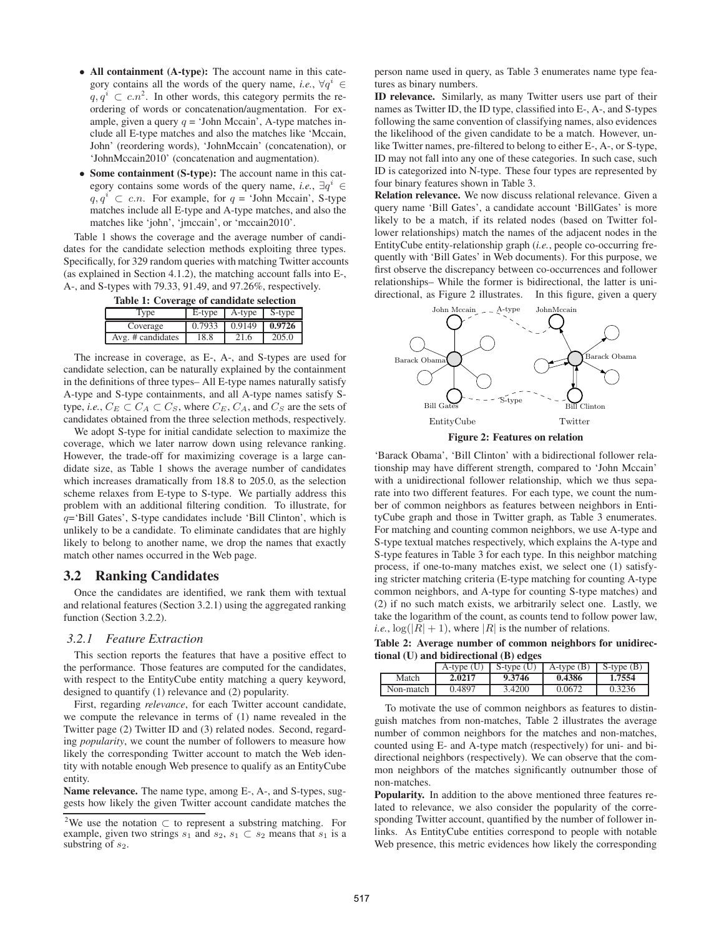- **All containment (A-type):** The account name in this category contains all the words of the query name, *i.e.*,  $\forall q^{i} \in$  $q, q^i \subset c.n^2$ . In other words, this category permits the reordering of words or concatenation/augmentation. For example, given a query  $q = 'John Mccain',$  A-type matches include all E-type matches and also the matches like 'Mccain, John' (reordering words), 'JohnMccain' (concatenation), or 'JohnMccain2010' (concatenation and augmentation).
- **Some containment (S-type):** The account name in this category contains some words of the query name, *i.e.*,  $\exists q^{i} \in$  $q, q^i \subset c.n$ . For example, for  $q = 'John Mccain'$ , S-type matches include all E-type and A-type matches, and also the matches like 'john', 'jmccain', or 'mccain2010'.

Table 1 shows the coverage and the average number of candidates for the candidate selection methods exploiting three types. Specifically, for 329 random queries with matching Twitter accounts (as explained in Section 4.1.2), the matching account falls into E-, A-, and S-types with 79.33, 91.49, and 97.26%, respectively.

| Table 1: Coverage of candidate selection |      |                            |       |  |  |
|------------------------------------------|------|----------------------------|-------|--|--|
| $\Gamma$ vpe                             |      | E-type A-type S-type       |       |  |  |
| Coverage                                 |      | $0.7933$ $0.9149$ $0.9726$ |       |  |  |
| $Ave.$ # candidates $\parallel$          | 18.8 | 21.6                       | 205.0 |  |  |

The increase in coverage, as E-, A-, and S-types are used for candidate selection, can be naturally explained by the containment in the definitions of three types– All E-type names naturally satisfy A-type and S-type containments, and all A-type names satisfy Stype, *i.e.*,  $C_E \subset C_A \subset C_S$ , where  $C_E$ ,  $C_A$ , and  $C_S$  are the sets of candidates obtained from the three selection methods, respectively.

We adopt S-type for initial candidate selection to maximize the coverage, which we later narrow down using relevance ranking. However, the trade-off for maximizing coverage is a large candidate size, as Table 1 shows the average number of candidates which increases dramatically from 18.8 to 205.0, as the selection scheme relaxes from E-type to S-type. We partially address this problem with an additional filtering condition. To illustrate, for  $q=$ 'Bill Gates', S-type candidates include 'Bill Clinton', which is unlikely to be a candidate. To eliminate candidates that are highly likely to belong to another name, we drop the names that exactly match other names occurred in the Web page.

## **3.2 Ranking Candidates**

Once the candidates are identified, we rank them with textual and relational features (Section 3.2.1) using the aggregated ranking function (Section 3.2.2).

#### *3.2.1 Feature Extraction*

This section reports the features that have a positive effect to the performance. Those features are computed for the candidates, with respect to the EntityCube entity matching a query keyword, designed to quantify (1) relevance and (2) popularity.

First, regarding *relevance*, for each Twitter account candidate, we compute the relevance in terms of (1) name revealed in the Twitter page (2) Twitter ID and (3) related nodes. Second, regarding *popularity*, we count the number of followers to measure how likely the corresponding Twitter account to match the Web identity with notable enough Web presence to qualify as an EntityCube entity.

**Name relevance.** The name type, among E-, A-, and S-types, suggests how likely the given Twitter account candidate matches the person name used in query, as Table 3 enumerates name type features as binary numbers.

**ID relevance.** Similarly, as many Twitter users use part of their names as Twitter ID, the ID type, classified into E-, A-, and S-types following the same convention of classifying names, also evidences the likelihood of the given candidate to be a match. However, unlike Twitter names, pre-filtered to belong to either E-, A-, or S-type, ID may not fall into any one of these categories. In such case, such ID is categorized into N-type. These four types are represented by four binary features shown in Table 3.

**Relation relevance.** We now discuss relational relevance. Given a query name 'Bill Gates', a candidate account 'BillGates' is more likely to be a match, if its related nodes (based on Twitter follower relationships) match the names of the adjacent nodes in the EntityCube entity-relationship graph (*i.e.*, people co-occurring frequently with 'Bill Gates' in Web documents). For this purpose, we first observe the discrepancy between co-occurrences and follower relationships– While the former is bidirectional, the latter is unidirectional, as Figure 2 illustrates. In this figure, given a query



**Figure 2: Features on relation**

'Barack Obama', 'Bill Clinton' with a bidirectional follower relationship may have different strength, compared to 'John Mccain' with a unidirectional follower relationship, which we thus separate into two different features. For each type, we count the number of common neighbors as features between neighbors in EntityCube graph and those in Twitter graph, as Table 3 enumerates. For matching and counting common neighbors, we use A-type and S-type textual matches respectively, which explains the A-type and S-type features in Table 3 for each type. In this neighbor matching process, if one-to-many matches exist, we select one (1) satisfying stricter matching criteria (E-type matching for counting A-type common neighbors, and A-type for counting S-type matches) and (2) if no such match exists, we arbitrarily select one. Lastly, we take the logarithm of the count, as counts tend to follow power law, *i.e.*,  $\log(|R| + 1)$ , where  $|R|$  is the number of relations.

**Table 2: Average number of common neighbors for unidirectional (U) and bidirectional (B) edges**

|           |        |        | A-type (U) S-type (U) A-type (B) S-type (B) |        |  |  |
|-----------|--------|--------|---------------------------------------------|--------|--|--|
| Match     | 2.0217 | 9.3746 | 0.4386                                      | 1.7554 |  |  |
| Non-match | 0.4897 | 3.4200 | 0.0672                                      | 0.3236 |  |  |

To motivate the use of common neighbors as features to distinguish matches from non-matches, Table 2 illustrates the average number of common neighbors for the matches and non-matches, counted using E- and A-type match (respectively) for uni- and bidirectional neighbors (respectively). We can observe that the common neighbors of the matches significantly outnumber those of non-matches.

**Popularity.** In addition to the above mentioned three features related to relevance, we also consider the popularity of the corresponding Twitter account, quantified by the number of follower inlinks. As EntityCube entities correspond to people with notable Web presence, this metric evidences how likely the corresponding

<sup>&</sup>lt;sup>2</sup>We use the notation  $\subset$  to represent a substring matching. For example, given two strings  $s_1$  and  $s_2$ ,  $s_1 \subset s_2$  means that  $s_1$  is a substring of  $s_2$ .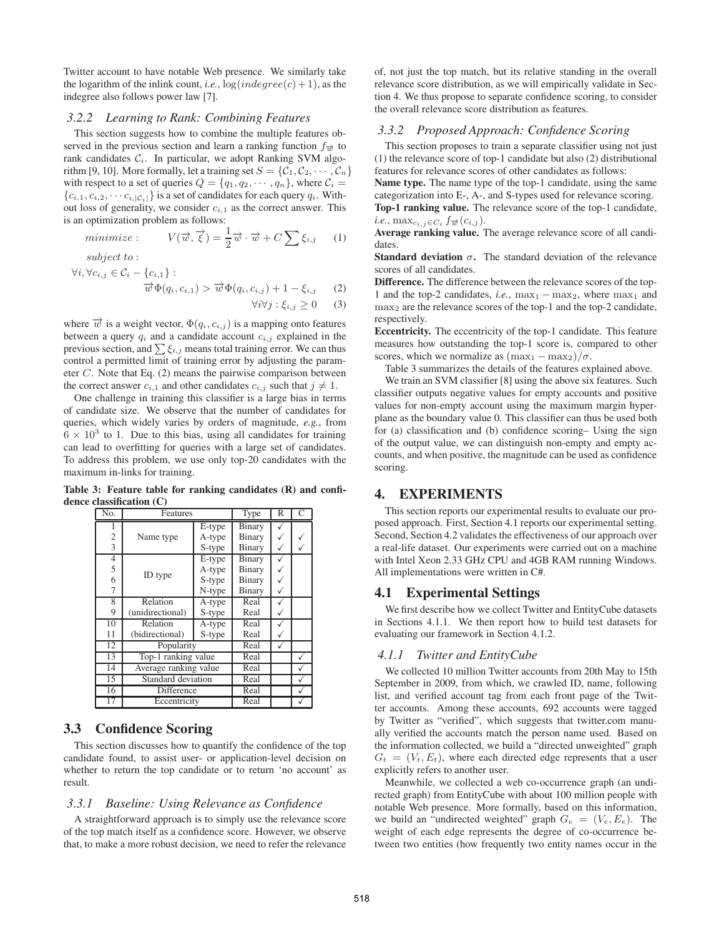Twitter account to have notable Web presence. We similarly take the logarithm of the inlink count, *i.e.*,  $log(indegree(c) + 1)$ , as the indegree also follows power law [7].

#### *3.2.2 Learning to Rank: Combining Features*

This section suggests how to combine the multiple features observed in the previous section and learn a ranking function  $f_{\vec{w}}$  to rank candidates  $C_i$ . In particular, we adopt Ranking SVM algorithm [9, 10]. More formally, let a training set  $S = \{C_1, C_2, \dots, C_n\}$ with respect to a set of queries  $Q = \{q_1, q_2, \dots, q_n\}$ , where  $C_i$  ${c_{i,1}, c_{i,2}, \cdots c_{i,|\mathcal{C}_i|}}$  is a set of candidates for each query  $q_i$ . Without loss of generality, we consider  $c_{i,1}$  as the correct answer. This is an optimization problem as follows:

$$
minimize: V(\vec{w}, \vec{\xi}) = \frac{1}{2}\vec{w} \cdot \vec{w} + C \sum \xi_{i,j} \qquad (1)
$$

subject to :

$$
\forall i, \forall c_{i,j} \in C_i - \{c_{i,1}\} : \overrightarrow{w} \Phi(q_i, c_{i,1}) > \overrightarrow{w} \Phi(q_i, c_{i,j}) + 1 - \xi_{i,j} \qquad (2)
$$
  

$$
\forall i \forall j : \xi_{i,j} \geq 0 \qquad (3)
$$

where  $\vec{w}$  is a weight vector,  $\Phi(q_i, c_{i,j})$  is a mapping onto features between a query  $q_i$  and a candidate account  $c_{i,j}$  explained in the previous section, and  $\sum \xi_{i,j}$  means total training error. We can thus control a permitted limit of training error by adjusting the parameter C. Note that Eq. (2) means the pairwise comparison between the correct answer  $c_{i,1}$  and other candidates  $c_{i,j}$  such that  $j \neq 1$ .

One challenge in training this classifier is a large bias in terms of candidate size. We observe that the number of candidates for queries, which widely varies by orders of magnitude, *e.g.*, from  $6 \times 10^3$  to 1. Due to this bias, using all candidates for training can lead to overfitting for queries with a large set of candidates. To address this problem, we use only top-20 candidates with the maximum in-links for training.

**Table 3: Feature table for ranking candidates (R) and confidence classification (C)**

| No.            | Features                   |                      | Type          | R | C |
|----------------|----------------------------|----------------------|---------------|---|---|
| 1              |                            | $\overline{E}$ -type | <b>Binary</b> |   |   |
| $\overline{c}$ | Name type                  | A-type               | Binary        |   |   |
| $\overline{3}$ |                            | S-type               | Binary        |   |   |
| $\overline{4}$ |                            | E-type               | Binary        |   |   |
| 5              | ID type                    | A-type               | Binary        |   |   |
| 6              |                            | S-type               | Binary        |   |   |
| 7              |                            | N-type               | Binary        |   |   |
| 8              | Relation<br>A-type         |                      | Real          |   |   |
| 9              | (unidirectional)<br>S-type |                      | Real          |   |   |
| 10             | Relation                   | A-type               |               |   |   |
| 11             | (bidirectional)            | S-type               |               |   |   |
| 12             | Popularity                 |                      | Real          |   |   |
| 13             | Top-1 ranking value        |                      | Real          |   | ✓ |
| 14             | Average ranking value      |                      | Real          |   |   |
| 15             | Standard deviation         |                      | Real          |   |   |
| 16             | Difference                 |                      | Real          |   | ✓ |
| 17             | Eccentricity               |                      | Real          |   |   |

# **3.3 Confidence Scoring**

This section discusses how to quantify the confidence of the top candidate found, to assist user- or application-level decision on whether to return the top candidate or to return 'no account' as result.

#### *3.3.1 Baseline: Using Relevance as Confidence*

A straightforward approach is to simply use the relevance score of the top match itself as a confidence score. However, we observe that, to make a more robust decision, we need to refer the relevance

of, not just the top match, but its relative standing in the overall relevance score distribution, as we will empirically validate in Section 4. We thus propose to separate confidence scoring, to consider the overall relevance score distribution as features.

## *3.3.2 Proposed Approach: Confidence Scoring*

This section proposes to train a separate classifier using not just (1) the relevance score of top-1 candidate but also (2) distributional features for relevance scores of other candidates as follows:

**Name type.** The name type of the top-1 candidate, using the same categorization into E-, A-, and S-types used for relevance scoring. **Top-1 ranking value.** The relevance score of the top-1 candidate, *i.e.*,  $\max_{c_{i,j}\in C_i} f_{\overrightarrow{w}}(c_{i,j}).$ 

**Average ranking value.** The average relevance score of all candidates.

**Standard deviation**  $\sigma$ . The standard deviation of the relevance scores of all candidates.

**Difference.** The difference between the relevance scores of the top-1 and the top-2 candidates, *i.e.*,  $max_1 - max_2$ , where  $max_1$  and max<sup>2</sup> are the relevance scores of the top-1 and the top-2 candidate, respectively.

**Eccentricity.** The eccentricity of the top-1 candidate. This feature measures how outstanding the top-1 score is, compared to other scores, which we normalize as  $(\max_1 - \max_2)/\sigma$ .

Table 3 summarizes the details of the features explained above.

We train an SVM classifier [8] using the above six features. Such classifier outputs negative values for empty accounts and positive values for non-empty account using the maximum margin hyperplane as the boundary value 0. This classifier can thus be used both for (a) classification and (b) confidence scoring– Using the sign of the output value, we can distinguish non-empty and empty accounts, and when positive, the magnitude can be used as confidence scoring.

## **4. EXPERIMENTS**

This section reports our experimental results to evaluate our proposed approach. First, Section 4.1 reports our experimental setting. Second, Section 4.2 validates the effectiveness of our approach over a real-life dataset. Our experiments were carried out on a machine with Intel Xeon 2.33 GHz CPU and 4GB RAM running Windows. All implementations were written in C#.

## **4.1 Experimental Settings**

We first describe how we collect Twitter and EntityCube datasets in Sections 4.1.1. We then report how to build test datasets for evaluating our framework in Section 4.1.2.

#### *4.1.1 Twitter and EntityCube*

We collected 10 million Twitter accounts from 20th May to 15th September in 2009, from which, we crawled ID, name, following list, and verified account tag from each front page of the Twitter accounts. Among these accounts, 692 accounts were tagged by Twitter as "verified", which suggests that twitter.com manually verified the accounts match the person name used. Based on the information collected, we build a "directed unweighted" graph  $G_t = (V_t, E_t)$ , where each directed edge represents that a user explicitly refers to another user.

Meanwhile, we collected a web co-occurrence graph (an undirected graph) from EntityCube with about 100 million people with notable Web presence. More formally, based on this information, we build an "undirected weighted" graph  $G_e = (V_e, E_e)$ . The weight of each edge represents the degree of co-occurrence between two entities (how frequently two entity names occur in the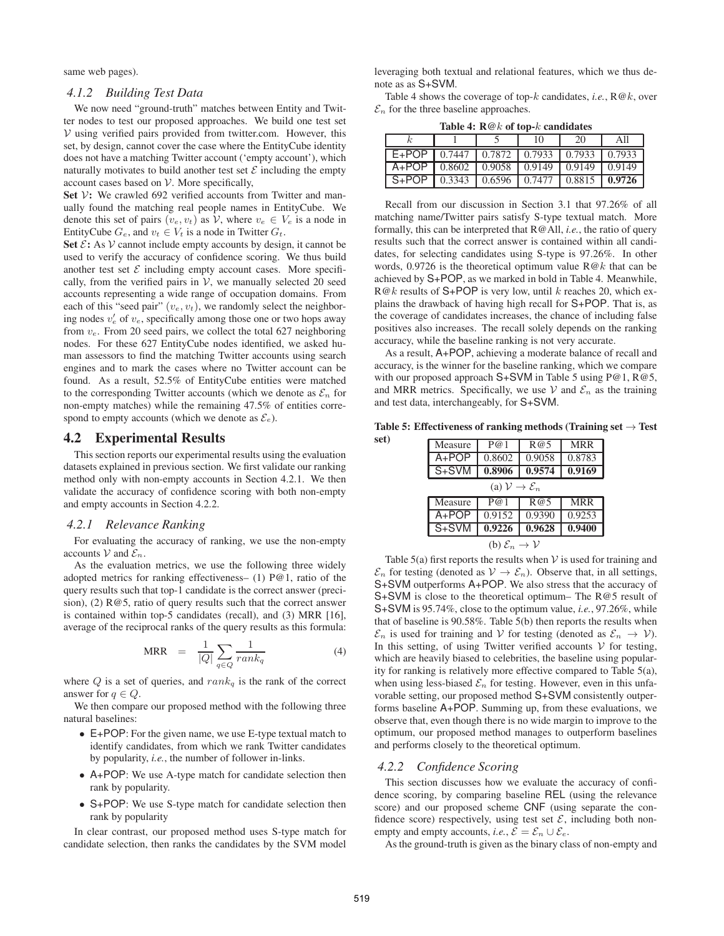same web pages).

#### *4.1.2 Building Test Data*

We now need "ground-truth" matches between Entity and Twitter nodes to test our proposed approaches. We build one test set  $V$  using verified pairs provided from twitter.com. However, this set, by design, cannot cover the case where the EntityCube identity does not have a matching Twitter account ('empty account'), which naturally motivates to build another test set  $\mathcal E$  including the empty account cases based on  $V$ . More specifically,

Set V: We crawled 692 verified accounts from Twitter and manually found the matching real people names in EntityCube. We denote this set of pairs  $(v_e, v_t)$  as V, where  $v_e \in V_e$  is a node in EntityCube  $G_e$ , and  $v_t \in V_t$  is a node in Twitter  $G_t$ .

**Set**  $\mathcal{E}$ **:** As  $\mathcal{V}$  cannot include empty accounts by design, it cannot be used to verify the accuracy of confidence scoring. We thus build another test set  $\mathcal E$  including empty account cases. More specifically, from the verified pairs in  $V$ , we manually selected 20 seed accounts representing a wide range of occupation domains. From each of this "seed pair"  $(v_e, v_t)$ , we randomly select the neighboring nodes  $v'_e$  of  $v_e$ , specifically among those one or two hops away from  $v_e$ . From 20 seed pairs, we collect the total 627 neighboring nodes. For these 627 EntityCube nodes identified, we asked human assessors to find the matching Twitter accounts using search engines and to mark the cases where no Twitter account can be found. As a result, 52.5% of EntityCube entities were matched to the corresponding Twitter accounts (which we denote as  $\mathcal{E}_n$  for non-empty matches) while the remaining 47.5% of entities correspond to empty accounts (which we denote as  $\mathcal{E}_e$ ).

#### **4.2 Experimental Results**

This section reports our experimental results using the evaluation datasets explained in previous section. We first validate our ranking method only with non-empty accounts in Section 4.2.1. We then validate the accuracy of confidence scoring with both non-empty and empty accounts in Section 4.2.2.

#### *4.2.1 Relevance Ranking*

For evaluating the accuracy of ranking, we use the non-empty accounts V and  $\mathcal{E}_n$ .

As the evaluation metrics, we use the following three widely adopted metrics for ranking effectiveness– (1) P@1, ratio of the query results such that top-1 candidate is the correct answer (precision), (2) R@5, ratio of query results such that the correct answer is contained within top-5 candidates (recall), and (3) MRR [16], average of the reciprocal ranks of the query results as this formula:

$$
MRR = \frac{1}{|Q|} \sum_{q \in Q} \frac{1}{rank_q} \tag{4}
$$

where  $Q$  is a set of queries, and  $rank_q$  is the rank of the correct answer for  $q \in Q$ .

We then compare our proposed method with the following three natural baselines:

- E+POP: For the given name, we use E-type textual match to identify candidates, from which we rank Twitter candidates by popularity, *i.e.*, the number of follower in-links.
- A+POP: We use A-type match for candidate selection then rank by popularity.
- S+POP: We use S-type match for candidate selection then rank by popularity

In clear contrast, our proposed method uses S-type match for candidate selection, then ranks the candidates by the SVM model

leveraging both textual and relational features, which we thus denote as as S+SVM.

Table 4 shows the coverage of top- $k$  candidates, *i.e.*,  $R@k$ , over  $\mathcal{E}_n$  for the three baseline approaches.

**Table 4: R@**k **of top-**k **candidates**

| $\frac{1}{2}$                                                                    |  |  |  |    |     |
|----------------------------------------------------------------------------------|--|--|--|----|-----|
|                                                                                  |  |  |  | 20 | All |
| $E+POP$ 0.7447   0.7872   0.7933   0.7933   0.7933                               |  |  |  |    |     |
| A+POP   0.8602   0.9058   0.9149   0.9149   0.9149                               |  |  |  |    |     |
| S+POP $\vert$ 0.3343 $\vert$ 0.6596 $\vert$ 0.7477 $\vert$ 0.8815 $\vert$ 0.9726 |  |  |  |    |     |

Recall from our discussion in Section 3.1 that 97.26% of all matching name/Twitter pairs satisfy S-type textual match. More formally, this can be interpreted that R@All, *i.e.*, the ratio of query results such that the correct answer is contained within all candidates, for selecting candidates using S-type is 97.26%. In other words, 0.9726 is the theoretical optimum value  $R@k$  that can be achieved by S+POP, as we marked in bold in Table 4. Meanwhile,  $R@k$  results of S+POP is very low, until k reaches 20, which explains the drawback of having high recall for S+POP. That is, as the coverage of candidates increases, the chance of including false positives also increases. The recall solely depends on the ranking accuracy, while the baseline ranking is not very accurate.

As a result, A+POP, achieving a moderate balance of recall and accuracy, is the winner for the baseline ranking, which we compare with our proposed approach S+SVM in Table 5 using P@1, R@5, and MRR metrics. Specifically, we use  $\mathcal V$  and  $\mathcal E_n$  as the training and test data, interchangeably, for S+SVM.

**Table 5: Effectiveness of ranking methods (Training set** → **Test**

| set) |                                     |                                  |        |            |  |  |
|------|-------------------------------------|----------------------------------|--------|------------|--|--|
|      | Measure                             | P@1                              | R@5    | <b>MRR</b> |  |  |
|      | $A+POP$                             | 0.8602                           | 0.9058 | 0.8783     |  |  |
|      | $S+SVM$                             | 0.8906                           | 0.9574 | 0.9169     |  |  |
|      | (a) $\mathcal{V} \to \mathcal{E}_n$ |                                  |        |            |  |  |
|      | Measure                             | P@1                              | R@5    | <b>MRR</b> |  |  |
|      | $A+POP$                             | 0.9152                           | 0.9390 | 0.9253     |  |  |
|      | $S+SVM$                             | 0.9226                           | 0.9628 | 0.9400     |  |  |
|      |                                     | $\alpha \cdot \alpha$ . $\alpha$ |        |            |  |  |

(b)  $\mathcal{E}_n \to \mathcal{V}$ 

Table 5(a) first reports the results when  $V$  is used for training and  $\mathcal{E}_n$  for testing (denoted as  $\mathcal{V} \to \mathcal{E}_n$ ). Observe that, in all settings, S+SVM outperforms A+POP. We also stress that the accuracy of S+SVM is close to the theoretical optimum– The R@5 result of S+SVM is 95.74%, close to the optimum value, *i.e.*, 97.26%, while that of baseline is 90.58%. Table 5(b) then reports the results when  $\mathcal{E}_n$  is used for training and V for testing (denoted as  $\mathcal{E}_n \to V$ ). In this setting, of using Twitter verified accounts  $V$  for testing, which are heavily biased to celebrities, the baseline using popularity for ranking is relatively more effective compared to Table 5(a), when using less-biased  $\mathcal{E}_n$  for testing. However, even in this unfavorable setting, our proposed method S+SVM consistently outperforms baseline A+POP. Summing up, from these evaluations, we observe that, even though there is no wide margin to improve to the optimum, our proposed method manages to outperform baselines and performs closely to the theoretical optimum.

#### *4.2.2 Confidence Scoring*

This section discusses how we evaluate the accuracy of confidence scoring, by comparing baseline REL (using the relevance score) and our proposed scheme CNF (using separate the confidence score) respectively, using test set  $\mathcal{E}$ , including both nonempty and empty accounts, *i.e.*,  $\mathcal{E} = \mathcal{E}_n \cup \mathcal{E}_e$ .

As the ground-truth is given as the binary class of non-empty and